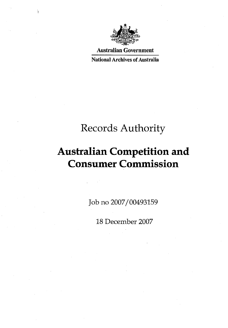

Australian Government

National Archives of Australia

## Records Authority

# **Australian Competition and Consumer Commission**

Job no 2007/00493159

18 December 2007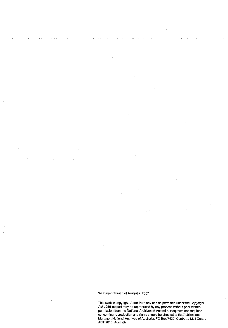This work is copyright. Apart from any use as permitted under the Copyright Act 1968, no part may be reproduced by any process without prior written permission from the National Archives of Australia. Requests and inquiries concerning reproduction and rights should be directed to the Publications Manager, National Archives of Australia, PO Box 7425, Canberra Mall Centre ACT 2610, Australia.

#### © Commonwealth of Australia 2007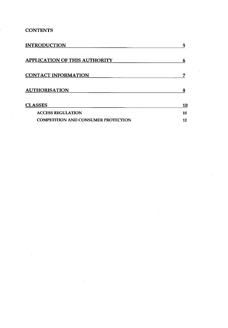### **CONTENTS**

| <b>INTRODUCTION</b>                        | 5  |
|--------------------------------------------|----|
| <b>APPLICATION OF THIS AUTHORITY</b>       | 6  |
| <b>CONTACT INFORMATION</b>                 | п, |
| <b>AUTHORISATION</b>                       | 8  |
| <b>CLASSES</b>                             | 10 |
| <b>ACCESS REGULATION</b>                   | 10 |
| <b>COMPETITION AND CONSUMER PROTECTION</b> | 12 |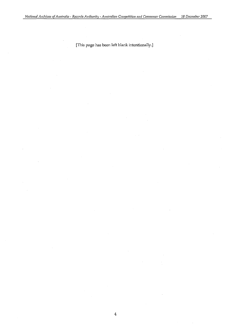[This page has been left blank intentionally.]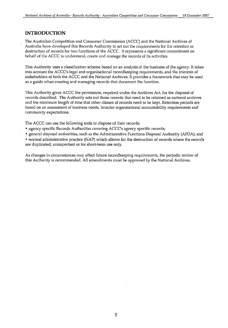### **INTRODUCTION**

The Australian Competition and Consumer Commission (ACCC) and the National Archives of Australia have developed this Records Authority to set out the requirements for the retention or destruction of records for two functions of the ACCC. Itrepresents a significant commitment on behalf of the ACCC to understand, create and manage the records of its activities.

This Authority uses a classification scheme based on an analysis of the business of the agency. It takes into account the ACCC's legal and organisational recordkeeping requirements, and the interests of stakeholders of both the ACCC and the National Archives. It provides a framework that may be used as a guide when creating and managing records that document the function.

This Authority gives ACCC the permission, required under the Archives Act, for the disposal of records described. The Authority sets out those records that need to be retained as national archives and the minimum length of time that other classes of records need to be kept. Retention periods are based on an assessment of business needs, broader organisational accountability requirements and community expectations.

The ACCC can use the following tools to dispose of their records:

• agency specific Records Authorities covering ACCC's agency specific records;

• general disposal authorities, such as the Administrative Functions Disposal Authority (AFDA); and

• normal administrative practice (NAP) which allows for the destruction of records where the records are duplicated, unimportant or for short-term use only.

As changes in circumstances may affect future recordkeeping requirements, the periodic review of this Authority is recommended. All amendments must be approved by the National Archives.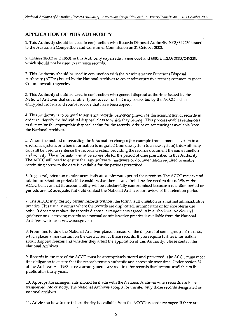### **APPLICATION OF TIllS AUTHORITY**

1. TIns Authority should be used in conjunction with Records Disposal Authority 2003/349230 issued to the Australian Competition and Consumer Commission on 31 October 2003.

2. Classes 18683 and 18684 in this Authority supersede classes 6084 and 6085 in RDA 2003/349230, which should not be used to sentence records.

2. This Authority should be used in conjunction with the Administrative Functions Disposal Authority (AFDA) issued by the National Archives to cover administrative records common to most Commonwealth agencies.

3. TIns Authority should be used in conjunction with general disposal authorities issued by the National Archives that cover other types of records that may be created by the ACCC such as encrypted records and source records that have been copied.

4. This Authority is to be used to sentence records. Sentencing involves the examination of records in order to identify the individual disposal class to which they belong. This process enables sentencers to determine the appropriate disposal action for the records. Advice on sentencing is available from the National Archives.

5. Where the method of recording the information changes (for example from a manual system to an electronic system, or when information is migrated from one system to a new system) this Authority can still be used to sentence the records created, providing the records document the same function and activity. The information must be accessible for the period of time prescribed in this Authority. The ACCC will need to ensure that any software, hardware or documentation required to enable continuing access to the data is available for the periods prescribed.

6. In general, retention requirements indicate a minimum period for retention. The ACCC may extend minimum retention periods if it considers that there is an administrative need to do so. Where the ACCC believes that its accountability will be substantially compromised because a retention period or periods are not adequate, it should contact the National Archives for review of the retention period.

7. The ACCC may destroy certain records without the formal authorisation as a normal administrative practice. This usually occurs where the records are duplicated, unimportant or for short-term use only. It does not replace the records disposal arrangements agreed to in authorities. Advice and guidance on destroying records as a normal administrative practice is available from the National Archives' website at www.naa.gov.au

8. From time to time the National Archives places 'freezes' on the disposal of some groups of records, which places a moratorium on the destruction of these records. If you require further information about disposal freezes and whether they affect the application of this Authority, please contact the National Archives.

9. Records in the care of the ACCC must be appropriately stored and preserved. The ACCC must meet this obligation to ensure that the records remain authentic and accessible over time. Under section 31 of the Archives Act 1983, access arrangements are required for records that become available to the public after thirty years.

10. Appropriate arrangements should be made with the National Archives when records are to be transferred into custody. The National Archives accepts for transfer only those records designated as national archives.

11. Advice on how to use this Authority is available from the ACCC's records manager. If there are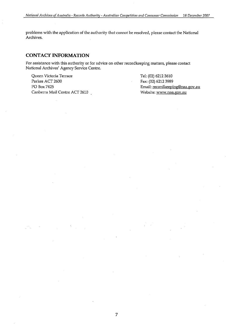problems with the application of the authority that cannot be resolved, please contact the National Archives.

### **CONTACT INFORMATION**

For assistance with this authority or for advice on other recordkeeping matters, please contact National Archives' Agency Service Centre.

Queen Victoria Terrace Tel: (02) 6212 3610 Parkes ACT 2600 Fax: (02) 6212 3989 Canberra Mail Centre ACT 2610 Website: www.naa.gov.au

PO Box 7425 **Email:** recordkeeping@naa.gov.au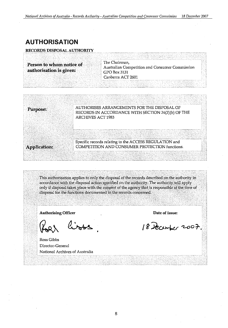### **AUTHORISATION**

### RECORDS DISPOSAL AUTHORITY

**Person to whom notice of The Chairman,**<br>Australian Competition and Consumer Commission authorisation is given: GPO Box 3131 Canberra ACT 2601

AUTHORISES ARRANGEMENTS FOR THE DISPOSAL OF Purpose: • RECORDS IN ACCORDANCE WITH SECTION 24(2)(b) OF THE ARCHIVES ACT 1983 Specific records relating to the ACCESS REGULATION and **Application:** COMPETITION AND CONSUMER PROTECTION functions.

This authorisation applies to only the disposal of the records described on the authority in accordance with the disposal action specified on the authority. The authority will apply only if disposal takes place with the consent of the agency that is responsible at the time of disposal for the functions documented in the records concerned. '-',",,",","'-':"

> ):"'}:--'~'""":':,,, :::~,\_.-:: ,.-,,, '-'-~-.,

Authorising Officer **Date of issue:** Date of issue:

 $, \ldots$ i ..

lisse

Ross Gibbs Director-General National Archives of Australia

18 December 2007.

8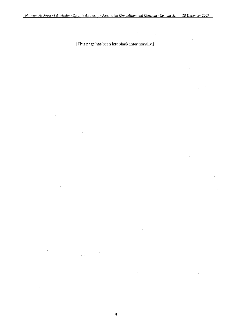$\cdot$ 

[This page has been left blank intentionally.]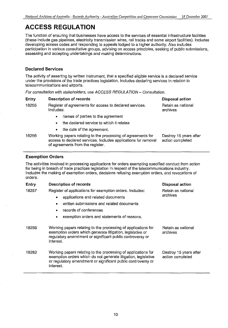## **ACCESS REGULATION**

The function of ensuring that businesses have access to the services of essential infrastructure facilities (these include gas pipelines, electricity transmission wires, rail tracks and some airport facilities). Includes developing access codes and responding to appeals lodged to a higher authority. Also includes participation in various consultative groups, advising on access principles, seeking of public submissions, assessing and accepting undertakings and making determinations.

### **Declared Services**

The activity of asserting by written instrument, that a specified eligible service is a declared service under the provisions of the trade practices legislation. Includes declaring services in relation to telecommunications and airports.

For consultation with stakeholders, use ACCESS REGULA TlON - Consultation.

| Entry | Description of records                                               | <b>Disposal action</b>         |
|-------|----------------------------------------------------------------------|--------------------------------|
| 18255 | Register of agreements for access to declared services.<br>Includes: | Retain as national<br>archives |
|       | names of parties to the agreement                                    |                                |
|       | the declared service to which it relates                             |                                |
|       | the date of the agreement.                                           |                                |

18256 Working papers relating to the processing of agreements for Destroy 15 years after<br>access to declared services. Includes applications for removal action completed access to declared services. Includes applications for removal of agreements from the register.

### **Exemption Orders**

The activities involved in processing applications for orders exempting specified conduct from action for being in breach of trade practices legislation in respect of the telecommunications industry. Includes the making of exemption orders, decisions refusing exemption orders, and revocations of orders.

| Entry | Description of records                                                                                                                                                                                       | <b>Disposal action</b>                      |
|-------|--------------------------------------------------------------------------------------------------------------------------------------------------------------------------------------------------------------|---------------------------------------------|
| 18257 | Register of applications for exemption orders. Includes:<br>applications and related documents<br>written submissions and related documents                                                                  | Retain as national<br>archives              |
|       | records of conferences                                                                                                                                                                                       |                                             |
|       | exemption orders and statements of reasons.                                                                                                                                                                  |                                             |
| 18259 | Working papers relating to the processing of applications for<br>exemption orders which generate litigation, legislative or<br>regulatory amendment or significant public controversy or<br>interest.        | Retain as national<br>archives <sup>:</sup> |
| 18282 | Working papers relating to the processing of applications for<br>exemption orders which do not generate litigation, legislative<br>or regulatory amendment or significant public controversy or<br>interest. | Destroy 15 years after<br>action completed  |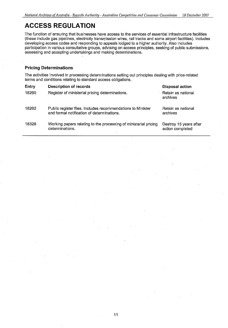### **ACCESS REGULATION**

The function of ensuring that businesses have access to the services of essentiai infrastructure facilities (these include gas pipelines, electricity transmission wires, rail tracks and some airport facilities). Includes developing access codes and responding to appeals lodged to a higher authority. Also includes participation in various consultative groups, advising on access principles, seeking of public submissions, assessing and accepting undertakings and making determinations.

### **Pricing Determinations**

The activities involved in processing determinations setting out principles dealing with price-related terms and conditions relating to standard access obligations.

| Entry | <b>Description of records</b>                                                                             | <b>Disposal action</b>                     |
|-------|-----------------------------------------------------------------------------------------------------------|--------------------------------------------|
| 18260 | Register of ministerial pricing determinations.                                                           | Retain as national<br>archives             |
| 18262 | Public register files. Includes recommendations to Minister<br>and formal notification of determinations. | Retain as national<br>archives             |
| 18328 | Working papers relating to the processing of ministerial pricing<br>determinations.                       | Destroy 15 years after<br>action completed |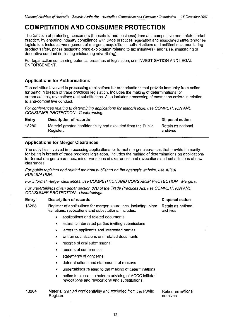### **COMPETITION AND CONSUMER PROTECTION**

The function of protecting consumers (household and business) from anti-competitive and unfair market practice, by ensuring industry compliance with trade practices legislation and associated statelterritories legislation. Includes management of mergers, acquisitions, authorisations and notifications, monitoring product safety, prices (including price expioitation relating to tax initiatives), and false, misleading or deceptive conduct (including misleading advertising).

For legal action concerning potential breaches of legislation, use INVESTiGATION AND LEGAL ENFORCEMENT.

### **Applications for Authorisations**

The activities involved in processing applications for authorisations that provide immunity from action for being in breach of trade practices legislation. Includes the making of determinations for authorisations, revocations and substitutions. Also includes processing of exemption orders in relation to anti-competitive conduct.

For conferences relating to determining applications for authorisation, use COMPETITION AND CONSUMER PROTECTION - Conferencing.

| Entry | Description of records                                                     | Disposal action               |
|-------|----------------------------------------------------------------------------|-------------------------------|
| 18280 | Material granted confidentiality and excluded from the Public<br>Register. | Retain as nationa<br>archives |

Retain as national<br>archives

### **Applications for Merger Clearances**

The activities invoived in processing applications for formal merger clearances that provide immunity for being in breach of trade practices legislation. Includes the making of determinations on applications for formal merger clearances, minor variations of clearances and revocations and substitutions of new clearances.

For public registers and related material pubiisbed on the agency's website, use AFDA PUBLICATION.

For informal merger clearances, use COMPETITION AND CONSUMER PROTECTION - Mergers.

For undertakings given under section 87B of the Trade Practices Act, use COMPETITION AND CONSUMER PROTECTION - Undertakings.

#### **Entry Description of records** Disposal action **Disposal action**

- 18263 Register of applications for merger clearances, including minor Retain as national variations, revocations and substitutions. Includes: archives
	- applications and related documents
	- letters to interested parties inviting submissions
	- letters to applicants and interested parties
	- written submissions and related documents
	- records of oral submissions
	- records of conferences
	- statements of concerns
	- determinations and statements of reasons
	- undertakings relating to the making of determinations
	- notice to clearance holders advising of ACCC initiated revocations and revocations and substitutions.
- 18264 Material granted confidentiality and excluded from the Public Retain as national Register. **Archives** archives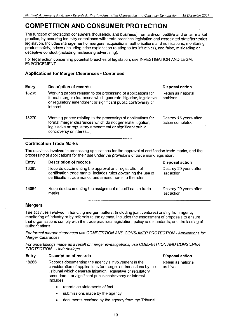### **COMPETITION AND CONSUMER PROTECTION**

The function of protecting consumers (househoid and business) from anti-competitive and unfair market practice, by ensuring industry compliance with trade practices legislation and associated statelterritories iegislation. Includes management of mergers, acquisitions, authorisations and notifications, monitoring product safety, prices (including price exploitation relating to tax initiatives), and false, misleading or deceptive conduct (inciuding misleading advertising).

For legal action concerning potential breaches of legislation, use INVESTIGATION AND LEGAL ENFORCEMENT.

### Applications for Merger Clearances - Continued

| Entry | Description of records                                                                                                                                                                                               | <b>Disposal action</b>                     |
|-------|----------------------------------------------------------------------------------------------------------------------------------------------------------------------------------------------------------------------|--------------------------------------------|
| 18265 | Working papers relating to the processing of applications for<br>formal merger clearances which generate litigation, legislative<br>or regulatory amendment or significant public controversy or<br>interest.        | Retain as national<br>archives             |
| 18279 | Working papers relating to the processing of applications for<br>formal merger clearances which do not generate litigation,<br>legislative or regulatory amendment or significant public<br>controversy or interest. | Destroy 15 years after<br>action completed |

### Certification Trade Marks

The activities involved in processing applications for the approval of certification trade marks, and the processing of applications for their use under the provisions of trade mark iegislation.

| Entry | Description of records                                                                                                                                                            | <b>Disposal action</b>                |
|-------|-----------------------------------------------------------------------------------------------------------------------------------------------------------------------------------|---------------------------------------|
| 18683 | Records documenting the approval and registration of<br>certification trade marks. Includes rules governing the use of<br>certification trade marks, and amendments to the rules. | Destroy 20 years after<br>last action |
| 18684 | Records documenting the assignment of certification trade<br>marks.                                                                                                               | Destroy 20 years after<br>last action |

### Mergers

The activities involved in handling merger matters, (including joint ventures) arising from agency monitoring of industry or by referrals to the agency. Includes the assessment of proposals to ensure that organisations comply with the trade practices legislation, policy and standards, and the issuing of authorisations.

For formal merger clearances use COMPETITION AND CONSUMER PROTECTION - Applications for Merger Clearances.

For undertakings made as a result of merger investigations, use COMPETITION AND CONSUMER PROTECTION - Undertakings.

| Entry | Description of records                                                                                                                                                                                                                                          | <b>Disposal</b>       |
|-------|-----------------------------------------------------------------------------------------------------------------------------------------------------------------------------------------------------------------------------------------------------------------|-----------------------|
| 18266 | Records documenting the agency's involvement in the<br>consideration of applications for merger authorisations by the<br>Tribunal which generate litigation, legislative or regulatory<br>amendment or significant public controversy or interest.<br>Includes: | Retain as<br>archives |
|       |                                                                                                                                                                                                                                                                 |                       |

- reports on statements of fact
- submissions made by the agency
- documents received by the agency from the Tribunal.

osal action

in as national